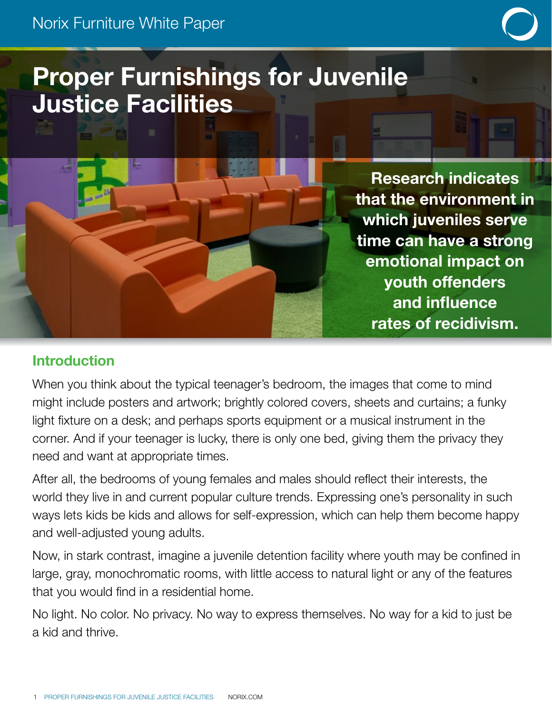# Proper Furnishings for Juvenile Justice Facilities

Research indicates that the environment in which juveniles serve time can have a strong emotional impact on youth offenders and influence rates of recidivism.

## Introduction

When you think about the typical teenager's bedroom, the images that come to mind might include posters and artwork; brightly colored covers, sheets and curtains; a funky light fixture on a desk; and perhaps sports equipment or a musical instrument in the corner. And if your teenager is lucky, there is only one bed, giving them the privacy they need and want at appropriate times.

After all, the bedrooms of young females and males should reflect their interests, the world they live in and current popular culture trends. Expressing one's personality in such ways lets kids be kids and allows for self-expression, which can help them become happy and well-adjusted young adults.

Now, in stark contrast, imagine a juvenile detention facility where youth may be confined in large, gray, monochromatic rooms, with little access to natural light or any of the features that you would find in a residential home.

No light. No color. No privacy. No way to express themselves. No way for a kid to just be a kid and thrive.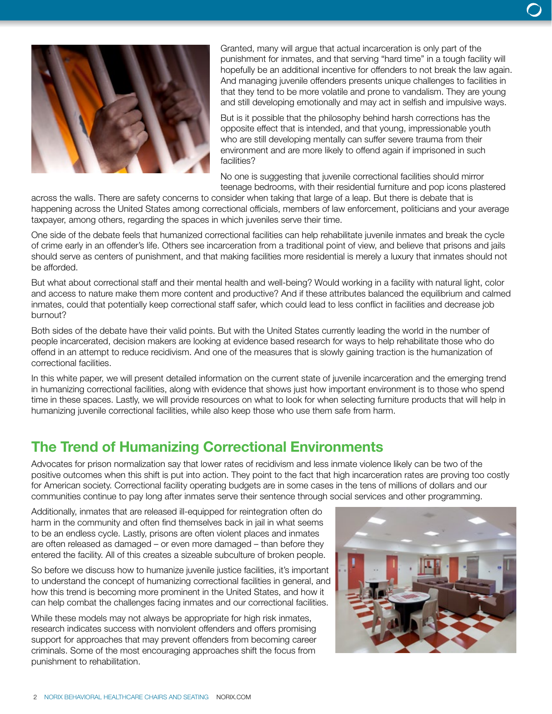

Granted, many will argue that actual incarceration is only part of the punishment for inmates, and that serving "hard time" in a tough facility will hopefully be an additional incentive for offenders to not break the law again. And managing juvenile offenders presents unique challenges to facilities in that they tend to be more volatile and prone to vandalism. They are young and still developing emotionally and may act in selfish and impulsive ways.

But is it possible that the philosophy behind harsh corrections has the opposite effect that is intended, and that young, impressionable youth who are still developing mentally can suffer severe trauma from their environment and are more likely to offend again if imprisoned in such facilities?

No one is suggesting that juvenile correctional facilities should mirror teenage bedrooms, with their residential furniture and pop icons plastered

across the walls. There are safety concerns to consider when taking that large of a leap. But there is debate that is happening across the United States among correctional officials, members of law enforcement, politicians and your average taxpayer, among others, regarding the spaces in which juveniles serve their time.

One side of the debate feels that humanized correctional facilities can help rehabilitate juvenile inmates and break the cycle of crime early in an offender's life. Others see incarceration from a traditional point of view, and believe that prisons and jails should serve as centers of punishment, and that making facilities more residential is merely a luxury that inmates should not be afforded.

But what about correctional staff and their mental health and well-being? Would working in a facility with natural light, color and access to nature make them more content and productive? And if these attributes balanced the equilibrium and calmed inmates, could that potentially keep correctional staff safer, which could lead to less conflict in facilities and decrease job burnout?

Both sides of the debate have their valid points. But with the United States currently leading the world in the number of people incarcerated, decision makers are looking at evidence based research for ways to help rehabilitate those who do offend in an attempt to reduce recidivism. And one of the measures that is slowly gaining traction is the humanization of correctional facilities.

In this white paper, we will present detailed information on the current state of juvenile incarceration and the emerging trend in humanizing correctional facilities, along with evidence that shows just how important environment is to those who spend time in these spaces. Lastly, we will provide resources on what to look for when selecting furniture products that will help in humanizing juvenile correctional facilities, while also keep those who use them safe from harm.

### The Trend of Humanizing Correctional Environments

Advocates for prison normalization say that lower rates of recidivism and less inmate violence likely can be two of the positive outcomes when this shift is put into action. They point to the fact that high incarceration rates are proving too costly for American society. Correctional facility operating budgets are in some cases in the tens of millions of dollars and our communities continue to pay long after inmates serve their sentence through social services and other programming.

Additionally, inmates that are released ill-equipped for reintegration often do harm in the community and often find themselves back in jail in what seems to be an endless cycle. Lastly, prisons are often violent places and inmates are often released as damaged – or even more damaged – than before they entered the facility. All of this creates a sizeable subculture of broken people.

So before we discuss how to humanize juvenile justice facilities, it's important to understand the concept of humanizing correctional facilities in general, and how this trend is becoming more prominent in the United States, and how it can help combat the challenges facing inmates and our correctional facilities.

While these models may not always be appropriate for high risk inmates, research indicates success with nonviolent offenders and offers promising support for approaches that may prevent offenders from becoming career criminals. Some of the most encouraging approaches shift the focus from punishment to rehabilitation.

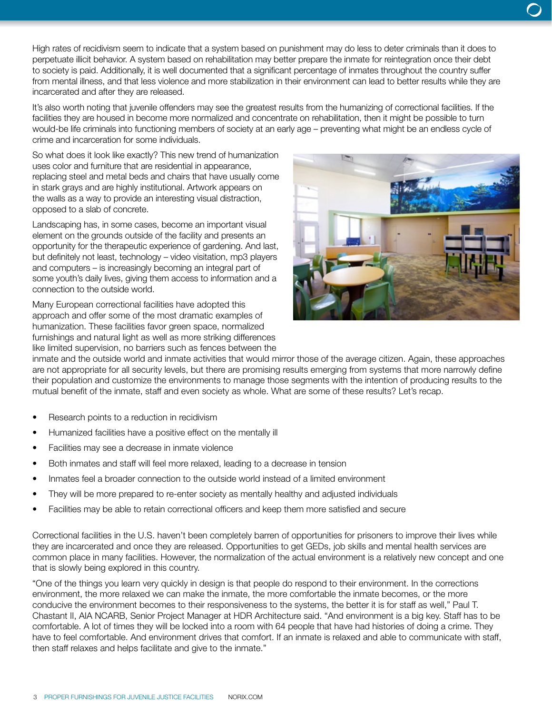High rates of recidivism seem to indicate that a system based on punishment may do less to deter criminals than it does to perpetuate illicit behavior. A system based on rehabilitation may better prepare the inmate for reintegration once their debt to society is paid. Additionally, it is well documented that a significant percentage of inmates throughout the country suffer from mental illness, and that less violence and more stabilization in their environment can lead to better results while they are incarcerated and after they are released.

It's also worth noting that juvenile offenders may see the greatest results from the humanizing of correctional facilities. If the facilities they are housed in become more normalized and concentrate on rehabilitation, then it might be possible to turn would-be life criminals into functioning members of society at an early age – preventing what might be an endless cycle of crime and incarceration for some individuals.

So what does it look like exactly? This new trend of humanization uses color and furniture that are residential in appearance, replacing steel and metal beds and chairs that have usually come in stark grays and are highly institutional. Artwork appears on the walls as a way to provide an interesting visual distraction, opposed to a slab of concrete.

Landscaping has, in some cases, become an important visual element on the grounds outside of the facility and presents an opportunity for the therapeutic experience of gardening. And last, but definitely not least, technology – video visitation, mp3 players and computers – is increasingly becoming an integral part of some youth's daily lives, giving them access to information and a connection to the outside world.

Many European correctional facilities have adopted this approach and offer some of the most dramatic examples of humanization. These facilities favor green space, normalized furnishings and natural light as well as more striking differences like limited supervision, no barriers such as fences between the



inmate and the outside world and inmate activities that would mirror those of the average citizen. Again, these approaches are not appropriate for all security levels, but there are promising results emerging from systems that more narrowly define their population and customize the environments to manage those segments with the intention of producing results to the mutual benefit of the inmate, staff and even society as whole. What are some of these results? Let's recap.

- Research points to a reduction in recidivism
- Humanized facilities have a positive effect on the mentally ill
- Facilities may see a decrease in inmate violence
- Both inmates and staff will feel more relaxed, leading to a decrease in tension
- Inmates feel a broader connection to the outside world instead of a limited environment
- They will be more prepared to re-enter society as mentally healthy and adjusted individuals
- Facilities may be able to retain correctional officers and keep them more satisfied and secure

Correctional facilities in the U.S. haven't been completely barren of opportunities for prisoners to improve their lives while they are incarcerated and once they are released. Opportunities to get GEDs, job skills and mental health services are common place in many facilities. However, the normalization of the actual environment is a relatively new concept and one that is slowly being explored in this country.

"One of the things you learn very quickly in design is that people do respond to their environment. In the corrections environment, the more relaxed we can make the inmate, the more comfortable the inmate becomes, or the more conducive the environment becomes to their responsiveness to the systems, the better it is for staff as well," Paul T. Chastant II, AIA NCARB, Senior Project Manager at HDR Architecture said. "And environment is a big key. Staff has to be comfortable. A lot of times they will be locked into a room with 64 people that have had histories of doing a crime. They have to feel comfortable. And environment drives that comfort. If an inmate is relaxed and able to communicate with staff, then staff relaxes and helps facilitate and give to the inmate."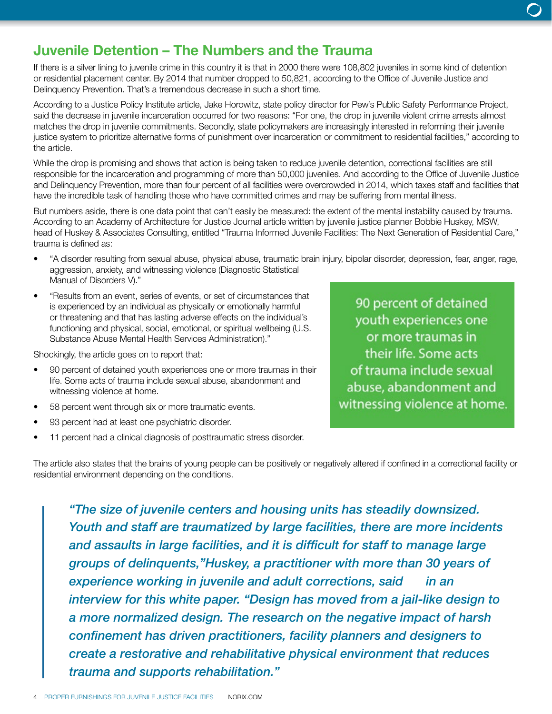### Juvenile Detention – The Numbers and the Trauma

If there is a silver lining to juvenile crime in this country it is that in 2000 there were 108,802 juveniles in some kind of detention or residential placement center. By 2014 that number dropped to 50,821, according to the Office of Juvenile Justice and Delinquency Prevention. That's a tremendous decrease in such a short time.

According to a Justice Policy Institute article, Jake Horowitz, state policy director for Pew's Public Safety Performance Project, said the decrease in juvenile incarceration occurred for two reasons: "For one, the drop in juvenile violent crime arrests almost matches the drop in juvenile commitments. Secondly, state policymakers are increasingly interested in reforming their juvenile justice system to prioritize alternative forms of punishment over incarceration or commitment to residential facilities," according to the article.

While the drop is promising and shows that action is being taken to reduce juvenile detention, correctional facilities are still responsible for the incarceration and programming of more than 50,000 juveniles. And according to the Office of Juvenile Justice and Delinquency Prevention, more than four percent of all facilities were overcrowded in 2014, which taxes staff and facilities that have the incredible task of handling those who have committed crimes and may be suffering from mental illness.

But numbers aside, there is one data point that can't easily be measured: the extent of the mental instability caused by trauma. According to an Academy of Architecture for Justice Journal article written by juvenile justice planner Bobbie Huskey, MSW, head of Huskey & Associates Consulting, entitled "Trauma Informed Juvenile Facilities: The Next Generation of Residential Care," trauma is defined as:

- "A disorder resulting from sexual abuse, physical abuse, traumatic brain injury, bipolar disorder, depression, fear, anger, rage, aggression, anxiety, and witnessing violence (Diagnostic Statistical Manual of Disorders V)."
- "Results from an event, series of events, or set of circumstances that is experienced by an individual as physically or emotionally harmful or threatening and that has lasting adverse effects on the individual's functioning and physical, social, emotional, or spiritual wellbeing (U.S. Substance Abuse Mental Health Services Administration)."

Shockingly, the article goes on to report that:

- 90 percent of detained youth experiences one or more traumas in their life. Some acts of trauma include sexual abuse, abandonment and witnessing violence at home.
- 58 percent went through six or more traumatic events.
- 93 percent had at least one psychiatric disorder.
- 11 percent had a clinical diagnosis of posttraumatic stress disorder.

The article also states that the brains of young people can be positively or negatively altered if confined in a correctional facility or residential environment depending on the conditions.

*"The size of juvenile centers and housing units has steadily downsized. Youth and staff are traumatized by large facilities, there are more incidents and assaults in large facilities, and it is difficult for staff to manage large groups of delinquents,"Huskey, a practitioner with more than 30 years of experience working in juvenile and adult corrections, said in an interview for this white paper. "Design has moved from a jail-like design to a more normalized design. The research on the negative impact of harsh confinement has driven practitioners, facility planners and designers to create a restorative and rehabilitative physical environment that reduces trauma and supports rehabilitation."*

90 percent of detained youth experiences one or more traumas in their life. Some acts of trauma include sexual abuse, abandonment and witnessing violence at home.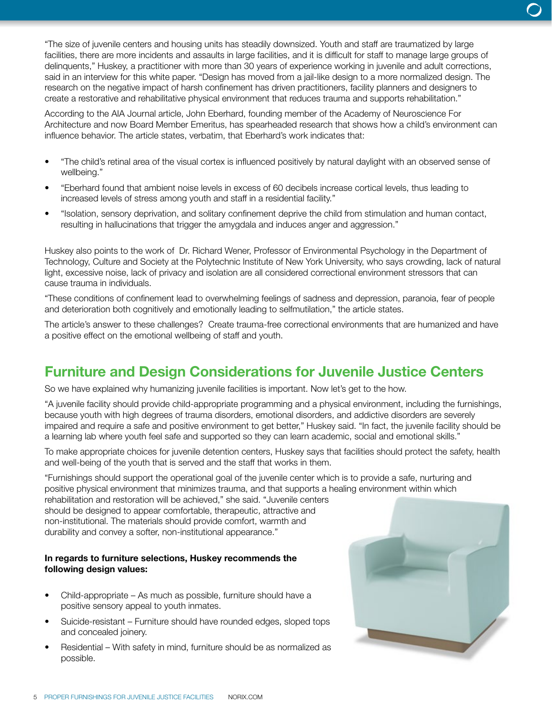"The size of juvenile centers and housing units has steadily downsized. Youth and staff are traumatized by large facilities, there are more incidents and assaults in large facilities, and it is difficult for staff to manage large groups of delinquents," Huskey, a practitioner with more than 30 years of experience working in juvenile and adult corrections, said in an interview for this white paper. "Design has moved from a jail-like design to a more normalized design. The research on the negative impact of harsh confinement has driven practitioners, facility planners and designers to create a restorative and rehabilitative physical environment that reduces trauma and supports rehabilitation."

According to the AIA Journal article, John Eberhard, founding member of the Academy of Neuroscience For Architecture and now Board Member Emeritus, has spearheaded research that shows how a child's environment can influence behavior. The article states, verbatim, that Eberhard's work indicates that:

- "The child's retinal area of the visual cortex is influenced positively by natural daylight with an observed sense of wellbeing."
- "Eberhard found that ambient noise levels in excess of 60 decibels increase cortical levels, thus leading to increased levels of stress among youth and staff in a residential facility."
- "Isolation, sensory deprivation, and solitary confinement deprive the child from stimulation and human contact, resulting in hallucinations that trigger the amygdala and induces anger and aggression."

Huskey also points to the work of Dr. Richard Wener, Professor of Environmental Psychology in the Department of Technology, Culture and Society at the Polytechnic Institute of New York University, who says crowding, lack of natural light, excessive noise, lack of privacy and isolation are all considered correctional environment stressors that can cause trauma in individuals.

"These conditions of confinement lead to overwhelming feelings of sadness and depression, paranoia, fear of people and deterioration both cognitively and emotionally leading to selfmutilation," the article states.

The article's answer to these challenges? Create trauma-free correctional environments that are humanized and have a positive effect on the emotional wellbeing of staff and youth.

### Furniture and Design Considerations for Juvenile Justice Centers

So we have explained why humanizing juvenile facilities is important. Now let's get to the how.

"A juvenile facility should provide child-appropriate programming and a physical environment, including the furnishings, because youth with high degrees of trauma disorders, emotional disorders, and addictive disorders are severely impaired and require a safe and positive environment to get better," Huskey said. "In fact, the juvenile facility should be a learning lab where youth feel safe and supported so they can learn academic, social and emotional skills."

To make appropriate choices for juvenile detention centers, Huskey says that facilities should protect the safety, health and well-being of the youth that is served and the staff that works in them.

"Furnishings should support the operational goal of the juvenile center which is to provide a safe, nurturing and positive physical environment that minimizes trauma, and that supports a healing environment within which rehabilitation and restoration will be achieved," she said. "Juvenile centers should be designed to appear comfortable, therapeutic, attractive and non-institutional. The materials should provide comfort, warmth and

durability and convey a softer, non-institutional appearance."

#### In regards to furniture selections, Huskey recommends the following design values:

- Child-appropriate As much as possible, furniture should have a positive sensory appeal to youth inmates.
- Suicide-resistant Furniture should have rounded edges, sloped tops and concealed joinery.
- Residential With safety in mind, furniture should be as normalized as possible.

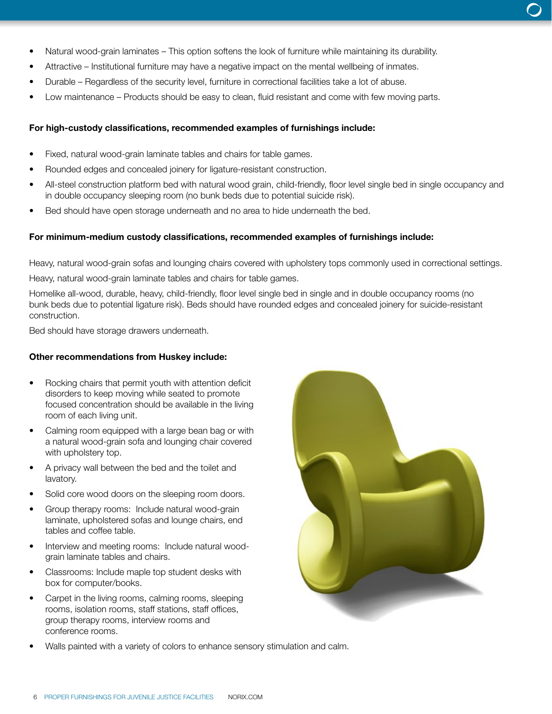- Natural wood-grain laminates This option softens the look of furniture while maintaining its durability.
- Attractive Institutional furniture may have a negative impact on the mental wellbeing of inmates.
- Durable Regardless of the security level, furniture in correctional facilities take a lot of abuse.
- Low maintenance Products should be easy to clean, fluid resistant and come with few moving parts.

### For high-custody classifications, recommended examples of furnishings include:

- Fixed, natural wood-grain laminate tables and chairs for table games.
- Rounded edges and concealed joinery for ligature-resistant construction.
- All-steel construction platform bed with natural wood grain, child-friendly, floor level single bed in single occupancy and in double occupancy sleeping room (no bunk beds due to potential suicide risk).
- Bed should have open storage underneath and no area to hide underneath the bed.

#### For minimum-medium custody classifications, recommended examples of furnishings include:

Heavy, natural wood-grain sofas and lounging chairs covered with upholstery tops commonly used in correctional settings. Heavy, natural wood-grain laminate tables and chairs for table games.

Homelike all-wood, durable, heavy, child-friendly, floor level single bed in single and in double occupancy rooms (no bunk beds due to potential ligature risk). Beds should have rounded edges and concealed joinery for suicide-resistant construction.

Bed should have storage drawers underneath.

#### Other recommendations from Huskey include:

- Rocking chairs that permit youth with attention deficit disorders to keep moving while seated to promote focused concentration should be available in the living room of each living unit.
- Calming room equipped with a large bean bag or with a natural wood-grain sofa and lounging chair covered with upholstery top.
- A privacy wall between the bed and the toilet and lavatory.
- Solid core wood doors on the sleeping room doors.
- Group therapy rooms: Include natural wood-grain laminate, upholstered sofas and lounge chairs, end tables and coffee table.
- Interview and meeting rooms: Include natural woodgrain laminate tables and chairs.
- Classrooms: Include maple top student desks with box for computer/books.
- Carpet in the living rooms, calming rooms, sleeping rooms, isolation rooms, staff stations, staff offices, group therapy rooms, interview rooms and conference rooms.



• Walls painted with a variety of colors to enhance sensory stimulation and calm.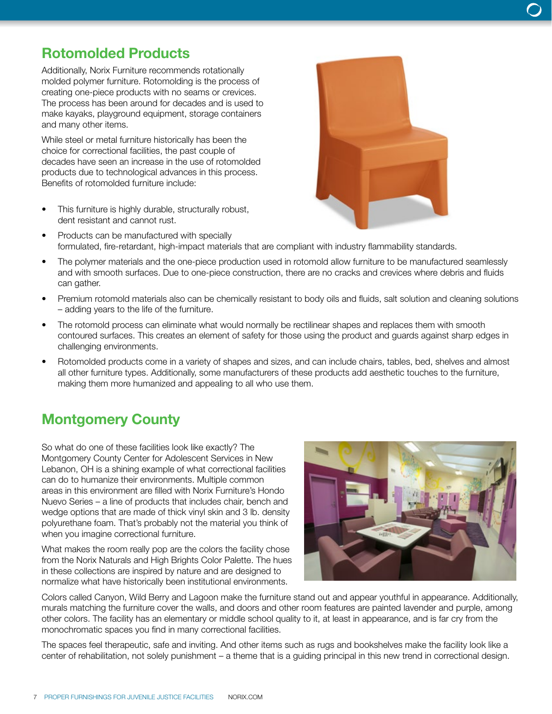### Rotomolded Products

Additionally, Norix Furniture recommends rotationally molded polymer furniture. Rotomolding is the process of creating one-piece products with no seams or crevices. The process has been around for decades and is used to make kayaks, playground equipment, storage containers and many other items.

While steel or metal furniture historically has been the choice for correctional facilities, the past couple of decades have seen an increase in the use of rotomolded products due to technological advances in this process. Benefits of rotomolded furniture include:

- This furniture is highly durable, structurally robust, dent resistant and cannot rust.
- Products can be manufactured with specially formulated, fire-retardant, high-impact materials that are compliant with industry flammability standards.
- The polymer materials and the one-piece production used in rotomold allow furniture to be manufactured seamlessly and with smooth surfaces. Due to one-piece construction, there are no cracks and crevices where debris and fluids can gather.
- Premium rotomold materials also can be chemically resistant to body oils and fluids, salt solution and cleaning solutions – adding years to the life of the furniture.
- The rotomold process can eliminate what would normally be rectilinear shapes and replaces them with smooth contoured surfaces. This creates an element of safety for those using the product and guards against sharp edges in challenging environments.
- Rotomolded products come in a variety of shapes and sizes, and can include chairs, tables, bed, shelves and almost all other furniture types. Additionally, some manufacturers of these products add aesthetic touches to the furniture, making them more humanized and appealing to all who use them.

### Montgomery County

So what do one of these facilities look like exactly? The Montgomery County Center for Adolescent Services in New Lebanon, OH is a shining example of what correctional facilities can do to humanize their environments. Multiple common areas in this environment are filled with Norix Furniture's Hondo Nuevo Series – a line of products that includes chair, bench and wedge options that are made of thick vinyl skin and 3 lb. density polyurethane foam. That's probably not the material you think of when you imagine correctional furniture.

What makes the room really pop are the colors the facility chose from the Norix Naturals and High Brights Color Palette. The hues in these collections are inspired by nature and are designed to normalize what have historically been institutional environments.



Colors called Canyon, Wild Berry and Lagoon make the furniture stand out and appear youthful in appearance. Additionally, murals matching the furniture cover the walls, and doors and other room features are painted lavender and purple, among other colors. The facility has an elementary or middle school quality to it, at least in appearance, and is far cry from the monochromatic spaces you find in many correctional facilities.

The spaces feel therapeutic, safe and inviting. And other items such as rugs and bookshelves make the facility look like a center of rehabilitation, not solely punishment – a theme that is a guiding principal in this new trend in correctional design.

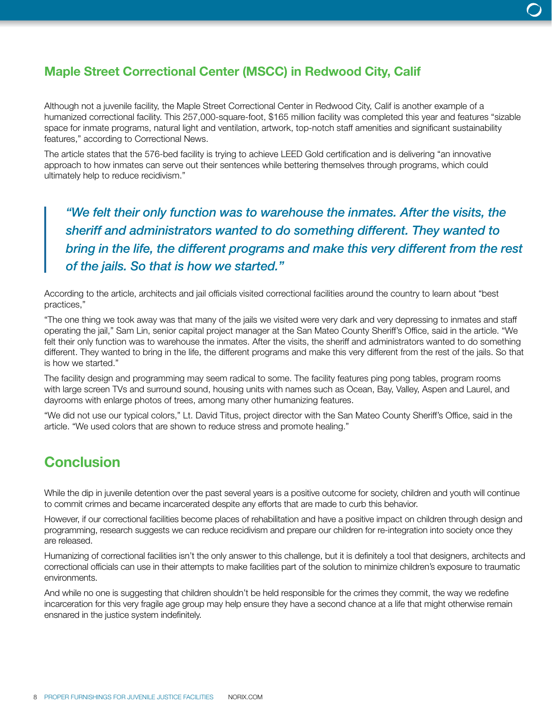### Maple Street Correctional Center (MSCC) in Redwood City, Calif

Although not a juvenile facility, the Maple Street Correctional Center in Redwood City, Calif is another example of a humanized correctional facility. This 257,000-square-foot, \$165 million facility was completed this year and features "sizable space for inmate programs, natural light and ventilation, artwork, top-notch staff amenities and significant sustainability features," according to Correctional News.

The article states that the 576-bed facility is trying to achieve LEED Gold certification and is delivering "an innovative approach to how inmates can serve out their sentences while bettering themselves through programs, which could ultimately help to reduce recidivism."

*"We felt their only function was to warehouse the inmates. After the visits, the sheriff and administrators wanted to do something different. They wanted to bring in the life, the different programs and make this very different from the rest of the jails. So that is how we started."*

According to the article, architects and jail officials visited correctional facilities around the country to learn about "best practices,"

"The one thing we took away was that many of the jails we visited were very dark and very depressing to inmates and staff operating the jail," Sam Lin, senior capital project manager at the San Mateo County Sheriff's Office, said in the article. "We felt their only function was to warehouse the inmates. After the visits, the sheriff and administrators wanted to do something different. They wanted to bring in the life, the different programs and make this very different from the rest of the jails. So that is how we started."

The facility design and programming may seem radical to some. The facility features ping pong tables, program rooms with large screen TVs and surround sound, housing units with names such as Ocean, Bay, Valley, Aspen and Laurel, and dayrooms with enlarge photos of trees, among many other humanizing features.

"We did not use our typical colors," Lt. David Titus, project director with the San Mateo County Sheriff's Office, said in the article. "We used colors that are shown to reduce stress and promote healing."

### **Conclusion**

While the dip in juvenile detention over the past several years is a positive outcome for society, children and youth will continue to commit crimes and became incarcerated despite any efforts that are made to curb this behavior.

However, if our correctional facilities become places of rehabilitation and have a positive impact on children through design and programming, research suggests we can reduce recidivism and prepare our children for re-integration into society once they are released.

Humanizing of correctional facilities isn't the only answer to this challenge, but it is definitely a tool that designers, architects and correctional officials can use in their attempts to make facilities part of the solution to minimize children's exposure to traumatic environments.

And while no one is suggesting that children shouldn't be held responsible for the crimes they commit, the way we redefine incarceration for this very fragile age group may help ensure they have a second chance at a life that might otherwise remain ensnared in the justice system indefinitely.